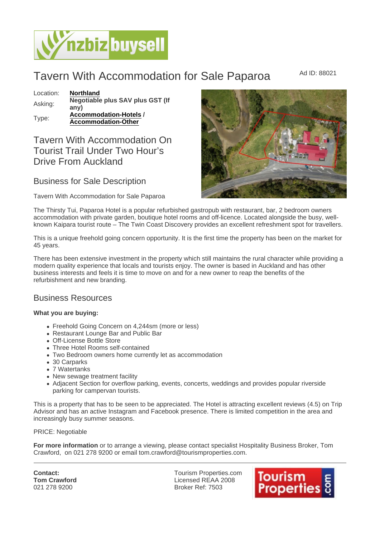# Tavern With Accommodation for Sale Paparoa MAd ID: 88021

Location: [Northland](https://www.nzbizbuysell.co.nz/businesses-for-sale/location/Northland) Asking: Negotiable plus SAV plus GST (If any) Type: [Accommodation-Hotels](https://www.nzbizbuysell.co.nz/businesses-for-sale/Hotels/New-Zealand) / Accommodation-Other

# Tavern With Accommodation On Tourist Trail Under Two Hour's Drive From Auckland

### Business for Sale Description

#### Tavern With Accommodation for Sale Paparoa

The Thirsty Tui, Paparoa Hotel is a popular refurbished gastropub with restaurant, bar, 2 bedroom owners accommodation with private garden, boutique hotel rooms and off-licence. Located alongside the busy, wellknown Kaipara tourist route – The Twin Coast Discovery provides an excellent refreshment spot for travellers.

This is a unique freehold going concern opportunity. It is the first time the property has been on the market for 45 years.

There has been extensive investment in the property which still maintains the rural character while providing a modern quality experience that locals and tourists enjoy. The owner is based in Auckland and has other business interests and feels it is time to move on and for a new owner to reap the benefits of the refurbishment and new branding.

## Business Resources

What you are buying:

- Freehold Going Concern on 4,244sm (more or less)
- Restaurant Lounge Bar and Public Bar
- Off-License Bottle Store
- Three Hotel Rooms self-contained
- Two Bedroom owners home currently let as accommodation
- 30 Carparks
- 7 Watertanks
- New sewage treatment facility
- Adjacent Section for overflow parking, events, concerts, weddings and provides popular riverside parking for campervan tourists.

This is a property that has to be seen to be appreciated. The Hotel is attracting excellent reviews (4.5) on Trip Advisor and has an active Instagram and Facebook presence. There is limited competition in the area and increasingly busy summer seasons.

#### PRICE: Negotiable

For more information or to arrange a viewing, please contact specialist Hospitality Business Broker, Tom Crawford, on 021 278 9200 or email tom.crawford@tourismproperties.com.

Contact: Tom Crawford 021 278 9200

Tourism Properties.com Licensed REAA 2008 Broker Ref: 7503